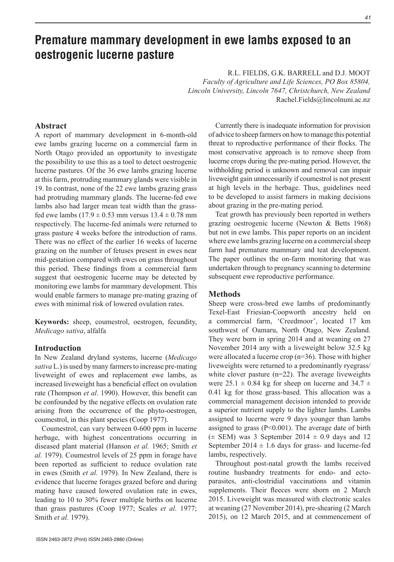# **Premature mammary development in ewe lambs exposed to an oestrogenic lucerne pasture**

R.L. FIELDS, G.K. BARRELL and D.J. MOOT

*Faculty of Agriculture and Life Sciences, PO Box 85804, Lincoln University, Lincoln 7647, Christchurch, New Zealand* Rachel.Fields@lincolnuni.ac.nz

# **Abstract**

A report of mammary development in 6-month-old ewe lambs grazing lucerne on a commercial farm in North Otago provided an opportunity to investigate the possibility to use this as a tool to detect oestrogenic lucerne pastures. Of the 36 ewe lambs grazing lucerne at this farm, protruding mammary glands were visible in 19. In contrast, none of the 22 ewe lambs grazing grass had protruding mammary glands. The lucerne-fed ewe lambs also had larger mean teat width than the grassfed ewe lambs  $(17.9 \pm 0.53 \text{ mm}$  versus  $13.4 \pm 0.78 \text{ mm}$ respectively. The lucerne-fed animals were returned to grass pasture 4 weeks before the introduction of rams. There was no effect of the earlier 16 weeks of lucerne grazing on the number of fetuses present in ewes near mid-gestation compared with ewes on grass throughout this period. These findings from a commercial farm suggest that oestrogenic lucerne may be detected by monitoring ewe lambs for mammary development. This would enable farmers to manage pre-mating grazing of ewes with minimal risk of lowered ovulation rates.

**Keywords:** sheep, coumestrol, oestrogen, fecundity, *Medicago sativa*, alfalfa

### **Introduction**

In New Zealand dryland systems, lucerne (*Medicago sativa* L.) is used by many farmers to increase pre-mating liveweight of ewes and replacement ewe lambs, as increased liveweight has a beneficial effect on ovulation rate (Thompson *et al*. 1990). However, this benefit can be confounded by the negative effects on ovulation rate arising from the occurrence of the phyto-oestrogen, coumestrol, in this plant species (Coop 1977).

Coumestrol, can vary between 0-600 ppm in lucerne herbage, with highest concentrations occurring in diseased plant material (Hanson *et al.* 1965; Smith *et al.* 1979). Coumestrol levels of 25 ppm in forage have been reported as sufficient to reduce ovulation rate in ewes (Smith *et al.* 1979). In New Zealand, there is evidence that lucerne forages grazed before and during mating have caused lowered ovulation rate in ewes, leading to 10 to 30% fewer multiple births on lucerne than grass pastures (Coop 1977; Scales *et al*. 1977; Smith *et al.* 1979).

Currently there is inadequate information for provision of advice to sheep farmers on how to manage this potential threat to reproductive performance of their flocks. The most conservative approach is to remove sheep from lucerne crops during the pre-mating period. However, the withholding period is unknown and removal can impair liveweight gain unnecessarily if coumestrol is not present at high levels in the herbage. Thus, guidelines need to be developed to assist farmers in making decisions about grazing in the pre-mating period.

Teat growth has previously been reported in wethers grazing oestrogenic lucerne (Newton & Betts 1968) but not in ewe lambs. This paper reports on an incident where ewe lambs grazing lucerne on a commercial sheep farm had premature mammary and teat development. The paper outlines the on-farm monitoring that was undertaken through to pregnancy scanning to determine subsequent ewe reproductive performance.

#### **Methods**

Sheep were cross-bred ewe lambs of predominantly Texel-East Friesian-Coopworth ancestry held on a commercial farm, 'Creedmoor', located 17 km southwest of Oamaru, North Otago, New Zealand. They were born in spring 2014 and at weaning on 27 November 2014 any with a liveweight below 32.5 kg were allocated a lucerne crop (n=36). Those with higher liveweights were returned to a predominantly ryegrass/ white clover pasture (n=22). The average liveweights were  $25.1 \pm 0.84$  kg for sheep on lucerne and  $34.7 \pm 1.6$ 0.41 kg for those grass-based. This allocation was a commercial management decision intended to provide a superior nutrient supply to the lighter lambs. Lambs assigned to lucerne were 9 days younger than lambs assigned to grass  $(P<0.001)$ . The average date of birth  $(\pm$  SEM) was 3 September 2014  $\pm$  0.9 days and 12 September  $2014 \pm 1.6$  days for grass- and lucerne-fed lambs, respectively.

Throughout post-natal growth the lambs received routine husbandry treatments for endo- and ectoparasites, anti-clostridial vaccinations and vitamin supplements. Their fleeces were shorn on 2 March 2015. Liveweight was measured with electronic scales at weaning (27 November 2014), pre-shearing (2 March 2015), on 12 March 2015, and at commencement of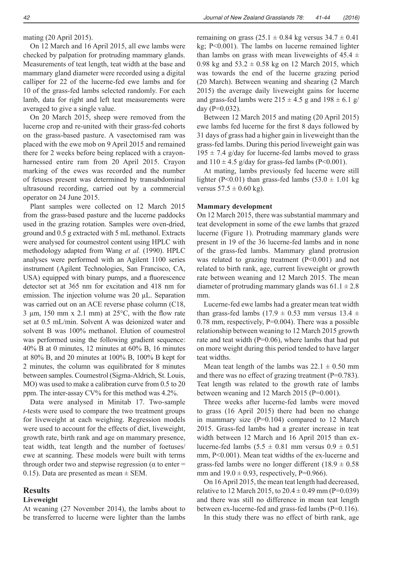mating (20 April 2015).

On 12 March and 16 April 2015, all ewe lambs were checked by palpation for protruding mammary glands. Measurements of teat length, teat width at the base and mammary gland diameter were recorded using a digital calliper for 22 of the lucerne-fed ewe lambs and for 10 of the grass-fed lambs selected randomly. For each lamb, data for right and left teat measurements were averaged to give a single value.

On 20 March 2015, sheep were removed from the lucerne crop and re-united with their grass-fed cohorts on the grass-based pasture. A vasectomised ram was placed with the ewe mob on 9 April 2015 and remained there for 2 weeks before being replaced with a crayonharnessed entire ram from 20 April 2015. Crayon marking of the ewes was recorded and the number of fetuses present was determined by transabdominal ultrasound recording, carried out by a commercial operator on 24 June 2015.

Plant samples were collected on 12 March 2015 from the grass-based pasture and the lucerne paddocks used in the grazing rotation. Samples were oven-dried, ground and 0.5 g extracted with 5 mL methanol. Extracts were analysed for coumestrol content using HPLC with methodology adapted from Wang *et al.* (1990). HPLC analyses were performed with an Agilent 1100 series instrument (Agilent Technologies, San Francisco, CA, USA) equipped with binary pumps, and a fluorescence detector set at 365 nm for excitation and 418 nm for emission. The injection volume was 20 µL. Separation was carried out on an ACE reverse phase column (C18, 3  $\mu$ m, 150 mm x 2.1 mm) at 25 $\degree$ C, with the flow rate set at 0.5 mL/min. Solvent A was deionized water and solvent B was 100% methanol. Elution of coumestrol was performed using the following gradient sequence: 40% B at 0 minutes, 12 minutes at 60% B, 16 minutes at 80% B, and 20 minutes at 100% B, 100% B kept for 2 minutes, the column was equilibrated for 8 minutes between samples. Coumestrol (Sigma-Aldrich, St. Louis, MO) was used to make a calibration curve from 0.5 to 20 ppm. The inter-assay CV% for this method was 4.2%.

Data were analysed in Minitab 17. Two-sample *t*-tests were used to compare the two treatment groups for liveweight at each weighing. Regression models were used to account for the effects of diet, liveweight, growth rate, birth rank and age on mammary presence, teat width, teat length and the number of foetuses/ ewe at scanning. These models were built with terms through order two and stepwise regression ( $α$  to enter = 0.15). Data are presented as mean  $\pm$  SEM.

# **Results**

#### **Liveweight**

At weaning (27 November 2014), the lambs about to be transferred to lucerne were lighter than the lambs remaining on grass (25.1  $\pm$  0.84 kg versus 34.7  $\pm$  0.41 kg; P<0.001). The lambs on lucerne remained lighter than lambs on grass with mean liveweights of  $45.4 \pm$ 0.98 kg and  $53.2 \pm 0.58$  kg on 12 March 2015, which was towards the end of the lucerne grazing period (20 March). Between weaning and shearing (2 March 2015) the average daily liveweight gains for lucerne and grass-fed lambs were  $215 \pm 4.5$  g and  $198 \pm 6.1$  g/ day (P=0.032).

Between 12 March 2015 and mating (20 April 2015) ewe lambs fed lucerne for the first 8 days followed by 31 days of grass had a higher gain in liveweight than the grass-fed lambs. During this period liveweight gain was  $195 \pm 7.4$  g/day for lucerne-fed lambs moved to grass and  $110 \pm 4.5$  g/day for grass-fed lambs (P<0.001).

At mating, lambs previously fed lucerne were still lighter (P<0.01) than grass-fed lambs (53.0  $\pm$  1.01 kg versus  $57.5 \pm 0.60$  kg).

#### **Mammary development**

On 12 March 2015, there was substantial mammary and teat development in some of the ewe lambs that grazed lucerne (Figure 1). Protruding mammary glands were present in 19 of the 36 lucerne-fed lambs and in none of the grass-fed lambs. Mammary gland protrusion was related to grazing treatment (P<0.001) and not related to birth rank, age, current liveweight or growth rate between weaning and 12 March 2015. The mean diameter of protruding mammary glands was  $61.1 \pm 2.8$ mm.

Lucerne-fed ewe lambs had a greater mean teat width than grass-fed lambs (17.9  $\pm$  0.53 mm versus 13.4  $\pm$ 0.78 mm, respectively, P=0.004). There was a possible relationship between weaning to 12 March 2015 growth rate and teat width  $(P=0.06)$ , where lambs that had put on more weight during this period tended to have larger teat widths.

Mean teat length of the lambs was  $22.1 \pm 0.50$  mm and there was no effect of grazing treatment (P=0.783). Teat length was related to the growth rate of lambs between weaning and 12 March 2015 (P=0.001).

Three weeks after lucerne-fed lambs were moved to grass (16 April 2015) there had been no change in mammary size (P=0.104) compared to 12 March 2015. Grass-fed lambs had a greater increase in teat width between 12 March and 16 April 2015 than exlucerne-fed lambs  $(5.5 \pm 0.81$  mm versus  $0.9 \pm 0.51$ mm, P<0.001). Mean teat widths of the ex-lucerne and grass-fed lambs were no longer different  $(18.9 \pm 0.58)$ mm and  $19.0 \pm 0.93$ , respectively, P=0.966).

On 16 April 2015, the mean teat length had decreased, relative to 12 March 2015, to  $20.4 \pm 0.49$  mm (P=0.039) and there was still no difference in mean teat length between ex-lucerne-fed and grass-fed lambs (P=0.116).

In this study there was no effect of birth rank, age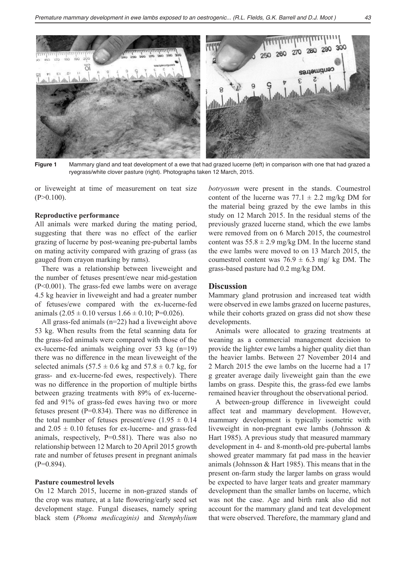

ryegrass/white clover pasture (right). Photographs taken 12 March, 2015. **Figure 1** Mammary gland and teat development of a ewe that had grazed lucerne (left) in comparison with one that had grazed a

or liveweight at time of measurement on teat size *botryosum* were present in the stands. Coumest  $(P>0.100)$ .

# **Reproductive performance Reproductive performance**

All animals were marked during the mating period, suggesting that there was no effect of the earlier were removed from on 6 March 2015, the coumestro grazing of lucerne by post-weaning pre-pubertal lambs content was  $55.8 \pm 2$ on mating activity compared with grazing of grass (as gauged from crayon marking by rams).

the number of fetuses present/ewe near mid-gestation  $B$  and  $B$  and  $A$  are  $A$ . The grass-fed execution  $B$  $(P<0.001)$ . The grass-fed ewe lambs were on average **Discussion** 4.5 kg heavier in liveweight and had a greater number Mamma of fetuses/ewe compared with the ex-lucerne-fed

All grass-fed animals (n=22) had a liveweight above  $\frac{1}{2}$  kg. When results from the fetal scanning data for the main space completions. the grass-fed animals were compared with those of the weaning as a commercial management decision to the grass-fed animals were compared with those of the ex-lucerne-fed animals weighing over 53 kg  $(n=19)$  provide the lighter ewe lambs a higher quality there was no difference in the mean liveweight of the the heavier lambs. Between 27 November 2014 and grass- and ex-lucerne-fed ewes, respectively). There g greater average daily liveweight gain than the ew was no difference in the proportion of multiple births was no unterence in the proportion of multiple offus animos of grass. Despite this, the grass-fed ewe faint<br>between grazing treatments with 89% of ex-lucerne-<br>mained heavier throughout the observational period fed and 91% of grass-fed ewes having two or more <br>fed and 91% of grass-fed ewes having two or more <br>A between-group difference in liveweight cou fetuses present (P=0.834). There was no difference in affect teat a the total number of fetuses present/ewe  $(1.95 \pm 0.14)$ and  $2.05 \pm 0.10$  fetuses for ex-lucerne- and grass-fed animals, respectively,  $P=0.581$ ). There was also no Hart 1985). A previous study that measure relationship between 12 March to 20 April 2015 growth development in 4- and 8-month-old pre-pubertal rate and number of fetuses present in pregnant animals  $(P=0.894)$ .

#### **Pasture coumestrol levels**

On 12 March 2015, lucerne in non-grazed stands of the crop was mature, at a late flowering/early seed set development stage. Fungal diseases, namely spring black stem (*Phoma medicaginis)* and *Stemphylium* 

There was a relationship between liveweight and grass-based pasture had  $0.2 \text{ mg/kg DM}$ . *botryosum* were present in the stands. Coumestrol content of the lucerne was  $77.1 \pm 2.2$  mg/kg DM for the material being grazed by the ewe lambs in this study on 12 March 2015. In the residual stems of the All animals were marked during the mating period, previously grazed lucerne stand, which the ewe lambs were removed from on 6 March 2015, the coumestrol content was  $55.8 \pm 2.9$  mg/kg DM. In the lucerne stand the ewe lambs were moved to on 13 March 2015, the coumestrol content was  $76.9 \pm 6.3$  mg/ kg DM. The grass-based pasture had 0.2 mg/kg DM.

#### **Discussion**

animals  $(2.05 \pm 0.10$  versus  $1.66 \pm 0.10$ ; P=0.026). While their cohorts grazed on grass-did not show the fetall grass-federal strength above 53 kg. When results from the fetall grass-federal strength above 53 kg. When Mammary gland protrusion and increased teat width were observed in ewe lambs grazed on lucerne pastures, while their cohorts grazed on grass did not show these developments.

selected animals  $(57.5 \pm 0.6 \text{ kg and } 57.8 \pm 0.7 \text{ kg}, \text{ for } 2 \text{ March } 2015 \text{ the ewe lambs on the lucerne had a 17}$ Animals were allocated to grazing treatments at weaning as a commercial management decision to provide the lighter ewe lambs a higher quality diet than the heavier lambs. Between 27 November 2014 and 2 March 2015 the ewe lambs on the lucerne had a 17 g greater average daily liveweight gain than the ewe lambs on grass. Despite this, the grass-fed ewe lambs remained heavier throughout the observational period.

> A between-group difference in liveweight could affect teat and mammary development. However, mammary development is typically isometric with liveweight in non-pregnant ewe lambs (Johnsson & Hart 1985). A previous study that measured mammary development in 4- and 8-month-old pre-pubertal lambs showed greater mammary fat pad mass in the heavier animals (Johnsson & Hart 1985). This means that in the present on-farm study the larger lambs on grass would be expected to have larger teats and greater mammary development than the smaller lambs on lucerne, which was not the case. Age and birth rank also did not account for the mammary gland and teat development that were observed. Therefore, the mammary gland and